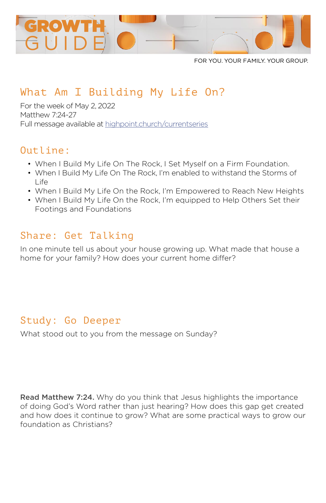

FOR YOU. YOUR FAMILY. YOUR GROUP.

# What Am I Building My Life On?

For the week of May 2, 2022 Matthew 7:24-27 Full message available at [highpoint.church/currentseries](http://highpoint.church/currentseries)

### Outline:

- When I Build My Life On The Rock, I Set Myself on a Firm Foundation.
- When I Build My Life On The Rock, I'm enabled to withstand the Storms of  $L$ ife
- When I Build My Life On the Rock, I'm Empowered to Reach New Heights
- When I Build My Life On the Rock, I'm equipped to Help Others Set their Footings and Foundations

## Share: Get Talking

In one minute tell us about your house growing up. What made that house a home for your family? How does your current home differ?

# Study: Go Deeper

What stood out to you from the message on Sunday?

Read Matthew 7:24. Why do you think that Jesus highlights the importance of doing God's Word rather than just hearing? How does this gap get created and how does it continue to grow? What are some practical ways to grow our foundation as Christians?